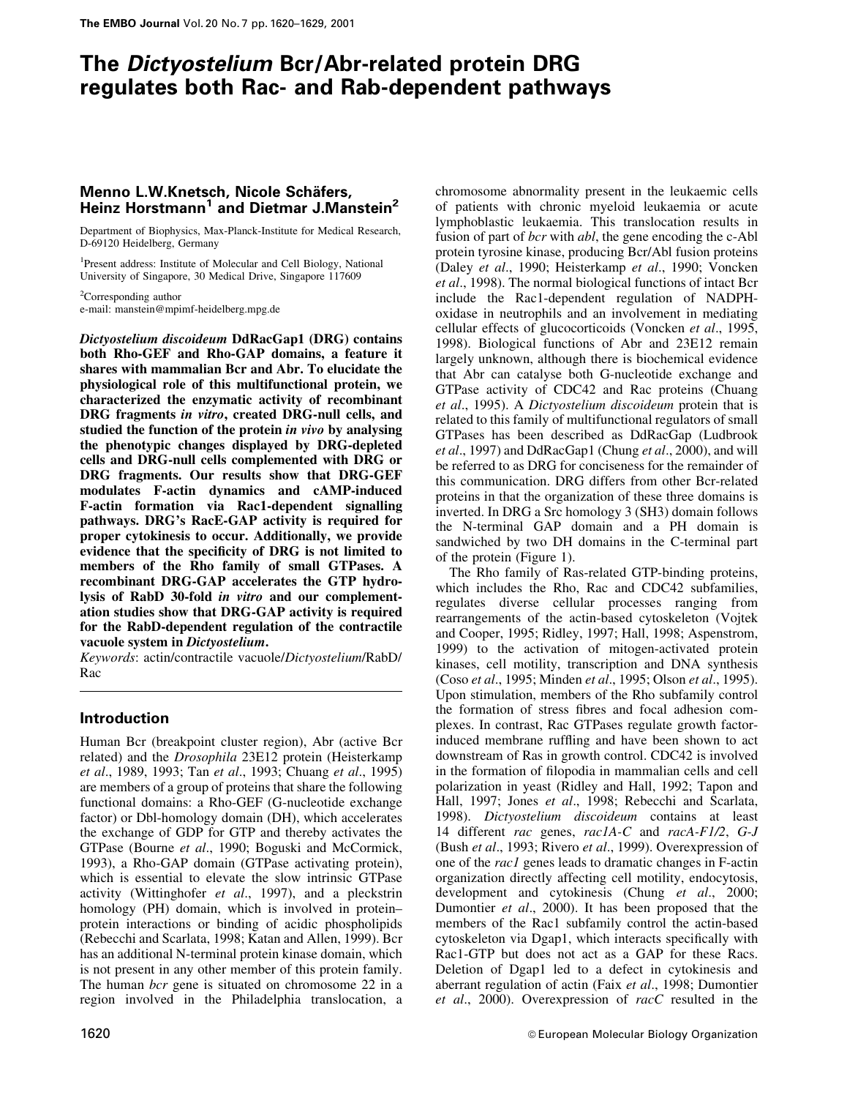# The Dictyostelium Bcr/Abr-related protein DRG regulates both Rac- and Rab-dependent pathways

# Menno L.W.Knetsch, Nicole Schäfers, Heinz Horstmann<sup>1</sup> and Dietmar J.Manstein<sup>2</sup>

Department of Biophysics, Max-Planck-Institute for Medical Research, D-69120 Heidelberg, Germany

<sup>1</sup>Present address: Institute of Molecular and Cell Biology, National University of Singapore, 30 Medical Drive, Singapore 117609

<sup>2</sup>Corresponding author e-mail: manstein@mpimf-heidelberg.mpg.de

Dictyostelium discoideum DdRacGap1 (DRG) contains both Rho-GEF and Rho-GAP domains, a feature it shares with mammalian Bcr and Abr. To elucidate the physiological role of this multifunctional protein, we characterized the enzymatic activity of recombinant DRG fragments in vitro, created DRG-null cells, and studied the function of the protein in vivo by analysing the phenotypic changes displayed by DRG-depleted cells and DRG-null cells complemented with DRG or DRG fragments. Our results show that DRG-GEF modulates F-actin dynamics and cAMP-induced F-actin formation via Rac1-dependent signalling pathways. DRG's RacE-GAP activity is required for proper cytokinesis to occur. Additionally, we provide evidence that the specificity of DRG is not limited to members of the Rho family of small GTPases. A recombinant DRG-GAP accelerates the GTP hydrolysis of RabD 30-fold in vitro and our complementation studies show that DRG-GAP activity is required for the RabD-dependent regulation of the contractile vacuole system in Dictyostelium.

Keywords: actin/contractile vacuole/Dictyostelium/RabD/ Rac

# Introduction

Human Bcr (breakpoint cluster region), Abr (active Bcr related) and the Drosophila 23E12 protein (Heisterkamp et al., 1989, 1993; Tan et al., 1993; Chuang et al., 1995) are members of a group of proteins that share the following functional domains: a Rho-GEF (G-nucleotide exchange factor) or Dbl-homology domain (DH), which accelerates the exchange of GDP for GTP and thereby activates the GTPase (Bourne et al., 1990; Boguski and McCormick, 1993), a Rho-GAP domain (GTPase activating protein), which is essential to elevate the slow intrinsic GTPase activity (Wittinghofer et al., 1997), and a pleckstrin homology (PH) domain, which is involved in proteinprotein interactions or binding of acidic phospholipids (Rebecchi and Scarlata, 1998; Katan and Allen, 1999). Bcr has an additional N-terminal protein kinase domain, which is not present in any other member of this protein family. The human *bcr* gene is situated on chromosome 22 in a region involved in the Philadelphia translocation, a

chromosome abnormality present in the leukaemic cells of patients with chronic myeloid leukaemia or acute lymphoblastic leukaemia. This translocation results in fusion of part of *bcr* with *abl*, the gene encoding the c-Abl protein tyrosine kinase, producing Bcr/Abl fusion proteins (Daley et al., 1990; Heisterkamp et al., 1990; Voncken et al., 1998). The normal biological functions of intact Bcr include the Rac1-dependent regulation of NADPHoxidase in neutrophils and an involvement in mediating cellular effects of glucocorticoids (Voncken et al., 1995, 1998). Biological functions of Abr and 23E12 remain largely unknown, although there is biochemical evidence that Abr can catalyse both G-nucleotide exchange and GTPase activity of CDC42 and Rac proteins (Chuang et al., 1995). A Dictyostelium discoideum protein that is related to this family of multifunctional regulators of small GTPases has been described as DdRacGap (Ludbrook et al., 1997) and DdRacGap1 (Chung et al., 2000), and will be referred to as DRG for conciseness for the remainder of this communication. DRG differs from other Bcr-related proteins in that the organization of these three domains is inverted. In DRG a Src homology 3 (SH3) domain follows the N-terminal GAP domain and a PH domain is sandwiched by two DH domains in the C-terminal part of the protein (Figure 1).

The Rho family of Ras-related GTP-binding proteins, which includes the Rho, Rac and CDC42 subfamilies, regulates diverse cellular processes ranging from rearrangements of the actin-based cytoskeleton (Vojtek and Cooper, 1995; Ridley, 1997; Hall, 1998; Aspenstrom, 1999) to the activation of mitogen-activated protein kinases, cell motility, transcription and DNA synthesis (Coso et al., 1995; Minden et al., 1995; Olson et al., 1995). Upon stimulation, members of the Rho subfamily control the formation of stress fibres and focal adhesion complexes. In contrast, Rac GTPases regulate growth factorinduced membrane ruffling and have been shown to act downstream of Ras in growth control. CDC42 is involved in the formation of filopodia in mammalian cells and cell polarization in yeast (Ridley and Hall, 1992; Tapon and Hall, 1997; Jones et al., 1998; Rebecchi and Scarlata, 1998). Dictyostelium discoideum contains at least 14 different rac genes, rac1A-C and racA-F1/2, G-J (Bush et al., 1993; Rivero et al., 1999). Overexpression of one of the rac1 genes leads to dramatic changes in F-actin organization directly affecting cell motility, endocytosis, development and cytokinesis (Chung et al., 2000; Dumontier et al., 2000). It has been proposed that the members of the Rac1 subfamily control the actin-based cytoskeleton via Dgap1, which interacts specifically with Rac1-GTP but does not act as a GAP for these Racs. Deletion of Dgap1 led to a defect in cytokinesis and aberrant regulation of actin (Faix et al., 1998; Dumontier et al., 2000). Overexpression of  $rac{r}{c}$  resulted in the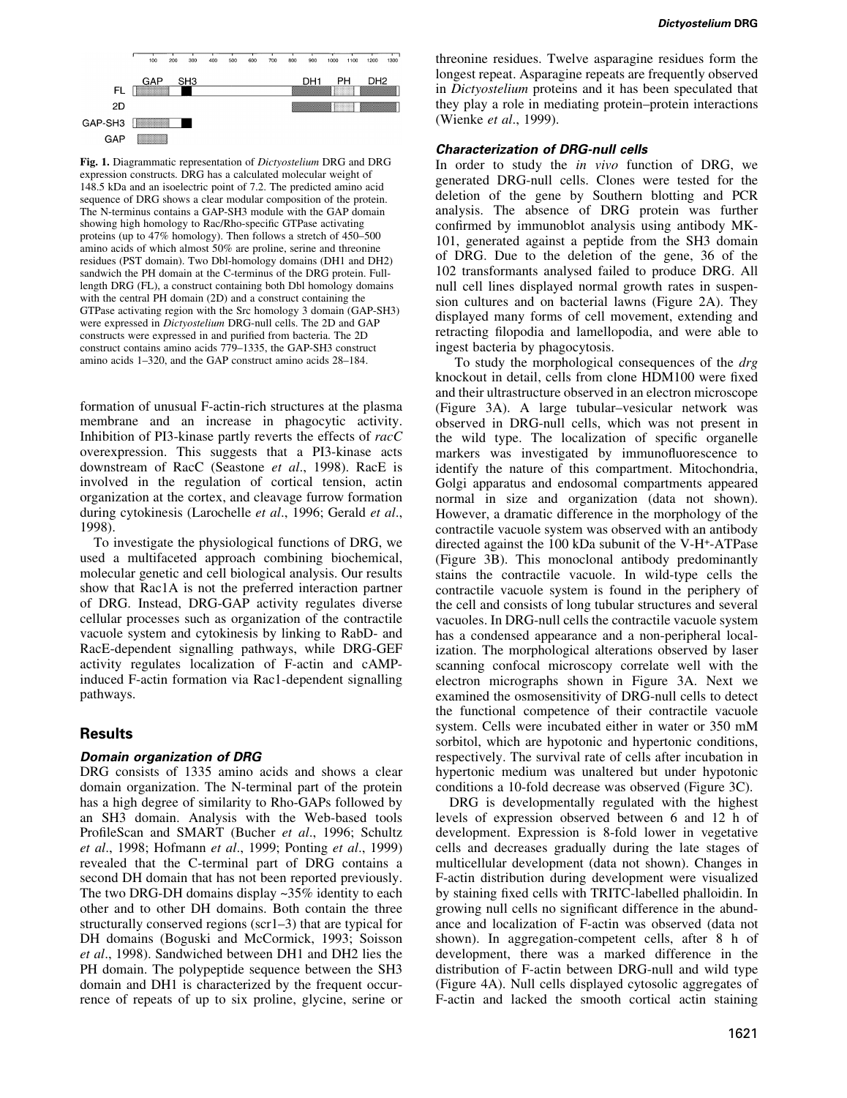

Fig. 1. Diagrammatic representation of Dictyostelium DRG and DRG expression constructs. DRG has a calculated molecular weight of 148.5 kDa and an isoelectric point of 7.2. The predicted amino acid sequence of DRG shows a clear modular composition of the protein. The N-terminus contains a GAP-SH3 module with the GAP domain showing high homology to Rac/Rho-specific GTPase activating proteins (up to  $47\%$  homology). Then follows a stretch of  $450-500$ amino acids of which almost 50% are proline, serine and threonine residues (PST domain). Two Dbl-homology domains (DH1 and DH2) sandwich the PH domain at the C-terminus of the DRG protein. Fulllength DRG (FL), a construct containing both Dbl homology domains with the central PH domain (2D) and a construct containing the GTPase activating region with the Src homology 3 domain (GAP-SH3) were expressed in Dictyostelium DRG-null cells. The 2D and GAP constructs were expressed in and purified from bacteria. The 2D construct contains amino acids  $779-1335$ , the GAP-SH3 construct amino acids  $1-320$ , and the GAP construct amino acids  $28-184$ .

formation of unusual F-actin-rich structures at the plasma membrane and an increase in phagocytic activity. Inhibition of PI3-kinase partly reverts the effects of racC overexpression. This suggests that a PI3-kinase acts downstream of RacC (Seastone et al., 1998). RacE is involved in the regulation of cortical tension, actin organization at the cortex, and cleavage furrow formation during cytokinesis (Larochelle et al., 1996; Gerald et al., 1998).

To investigate the physiological functions of DRG, we used a multifaceted approach combining biochemical, molecular genetic and cell biological analysis. Our results show that Rac1A is not the preferred interaction partner of DRG. Instead, DRG-GAP activity regulates diverse cellular processes such as organization of the contractile vacuole system and cytokinesis by linking to RabD- and RacE-dependent signalling pathways, while DRG-GEF activity regulates localization of F-actin and cAMPinduced F-actin formation via Rac1-dependent signalling pathways.

# Results

# Domain organization of DRG

DRG consists of 1335 amino acids and shows a clear domain organization. The N-terminal part of the protein has a high degree of similarity to Rho-GAPs followed by an SH3 domain. Analysis with the Web-based tools ProfileScan and SMART (Bucher et al., 1996; Schultz et al., 1998; Hofmann et al., 1999; Ponting et al., 1999) revealed that the C-terminal part of DRG contains a second DH domain that has not been reported previously. The two DRG-DH domains display ~35% identity to each other and to other DH domains. Both contain the three structurally conserved regions ( $\text{scr}1-3$ ) that are typical for DH domains (Boguski and McCormick, 1993; Soisson et al., 1998). Sandwiched between DH1 and DH2 lies the PH domain. The polypeptide sequence between the SH3 domain and DH1 is characterized by the frequent occurrence of repeats of up to six proline, glycine, serine or

threonine residues. Twelve asparagine residues form the longest repeat. Asparagine repeats are frequently observed in Dictyostelium proteins and it has been speculated that they play a role in mediating protein-protein interactions (Wienke *et al.*, 1999).

### Characterization of DRG-null cells

In order to study the *in vivo* function of DRG, we generated DRG-null cells. Clones were tested for the deletion of the gene by Southern blotting and PCR analysis. The absence of DRG protein was further confirmed by immunoblot analysis using antibody MK-101, generated against a peptide from the SH3 domain of DRG. Due to the deletion of the gene, 36 of the 102 transformants analysed failed to produce DRG. All null cell lines displayed normal growth rates in suspension cultures and on bacterial lawns (Figure 2A). They displayed many forms of cell movement, extending and retracting filopodia and lamellopodia, and were able to ingest bacteria by phagocytosis.

To study the morphological consequences of the *drg* knockout in detail, cells from clone HDM100 were fixed and their ultrastructure observed in an electron microscope (Figure 3A). A large tubular-vesicular network was observed in DRG-null cells, which was not present in the wild type. The localization of specific organelle markers was investigated by immunofluorescence to identify the nature of this compartment. Mitochondria, Golgi apparatus and endosomal compartments appeared normal in size and organization (data not shown). However, a dramatic difference in the morphology of the contractile vacuole system was observed with an antibody directed against the 100 kDa subunit of the V-H+-ATPase (Figure 3B). This monoclonal antibody predominantly stains the contractile vacuole. In wild-type cells the contractile vacuole system is found in the periphery of the cell and consists of long tubular structures and several vacuoles. In DRG-null cells the contractile vacuole system has a condensed appearance and a non-peripheral localization. The morphological alterations observed by laser scanning confocal microscopy correlate well with the electron micrographs shown in Figure 3A. Next we examined the osmosensitivity of DRG-null cells to detect the functional competence of their contractile vacuole system. Cells were incubated either in water or 350 mM sorbitol, which are hypotonic and hypertonic conditions, respectively. The survival rate of cells after incubation in hypertonic medium was unaltered but under hypotonic conditions a 10-fold decrease was observed (Figure 3C).

DRG is developmentally regulated with the highest levels of expression observed between 6 and 12 h of development. Expression is 8-fold lower in vegetative cells and decreases gradually during the late stages of multicellular development (data not shown). Changes in F-actin distribution during development were visualized by staining fixed cells with TRITC-labelled phalloidin. In growing null cells no significant difference in the abundance and localization of F-actin was observed (data not shown). In aggregation-competent cells, after 8 h of development, there was a marked difference in the distribution of F-actin between DRG-null and wild type (Figure 4A). Null cells displayed cytosolic aggregates of F-actin and lacked the smooth cortical actin staining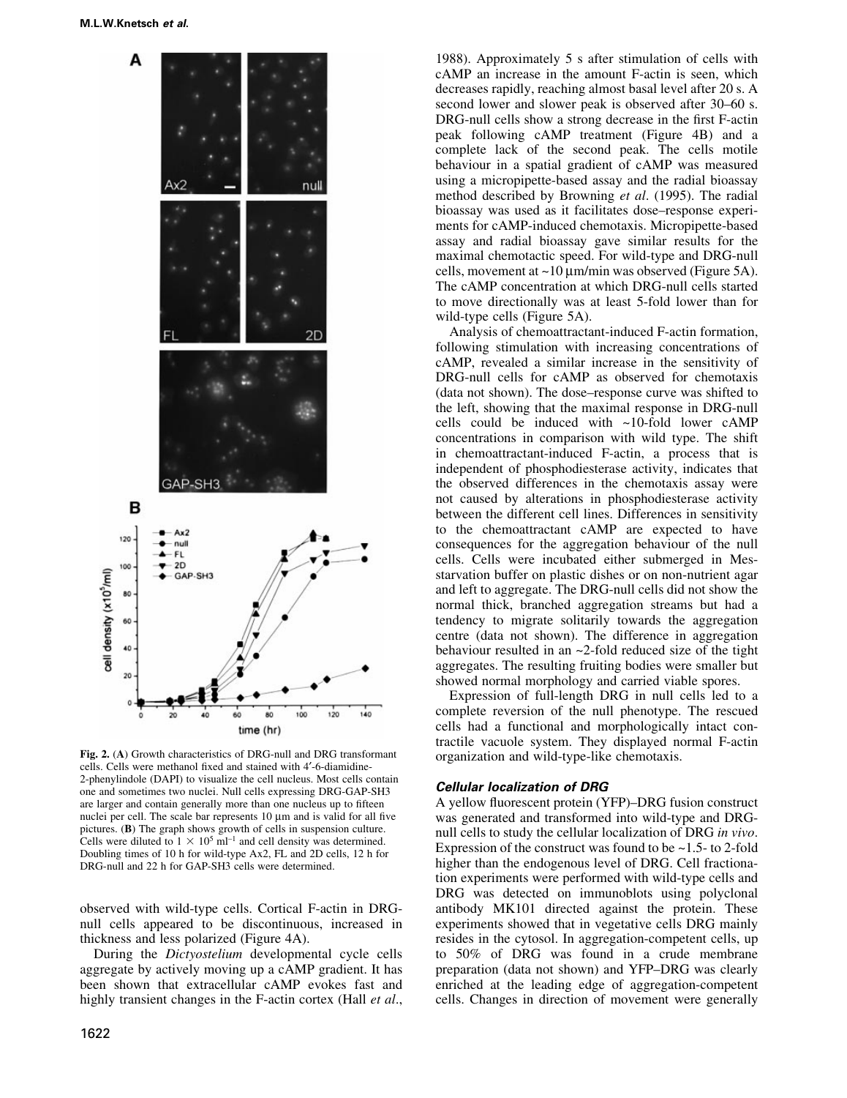

Fig. 2. (A) Growth characteristics of DRG-null and DRG transformant cells. Cells were methanol fixed and stained with 4'-6-diamidine-2-phenylindole (DAPI) to visualize the cell nucleus. Most cells contain one and sometimes two nuclei. Null cells expressing DRG-GAP-SH3 are larger and contain generally more than one nucleus up to fifteen nuclei per cell. The scale bar represents  $10 \mu m$  and is valid for all five pictures. (B) The graph shows growth of cells in suspension culture. Cells were diluted to  $1 \times 10^5$  ml<sup>-1</sup> and cell density was determined. Doubling times of 10 h for wild-type Ax2, FL and 2D cells, 12 h for DRG-null and 22 h for GAP-SH3 cells were determined.

observed with wild-type cells. Cortical F-actin in DRGnull cells appeared to be discontinuous, increased in thickness and less polarized (Figure 4A).

During the Dictyostelium developmental cycle cells aggregate by actively moving up a cAMP gradient. It has been shown that extracellular cAMP evokes fast and highly transient changes in the F-actin cortex (Hall *et al.*, 1988). Approximately 5 s after stimulation of cells with cAMP an increase in the amount F-actin is seen, which decreases rapidly, reaching almost basal level after 20 s. A second lower and slower peak is observed after 30–60 s. DRG-null cells show a strong decrease in the first F-actin peak following cAMP treatment (Figure 4B) and a complete lack of the second peak. The cells motile behaviour in a spatial gradient of cAMP was measured using a micropipette-based assay and the radial bioassay method described by Browning et al. (1995). The radial bioassay was used as it facilitates dose-response experiments for cAMP-induced chemotaxis. Micropipette-based assay and radial bioassay gave similar results for the maximal chemotactic speed. For wild-type and DRG-null cells, movement at  $\sim$ 10  $\mu$ m/min was observed (Figure 5A). The cAMP concentration at which DRG-null cells started to move directionally was at least 5-fold lower than for wild-type cells (Figure 5A).

Analysis of chemoattractant-induced F-actin formation, following stimulation with increasing concentrations of cAMP, revealed a similar increase in the sensitivity of DRG-null cells for cAMP as observed for chemotaxis (data not shown). The dose-response curve was shifted to the left, showing that the maximal response in DRG-null cells could be induced with ~10-fold lower cAMP concentrations in comparison with wild type. The shift in chemoattractant-induced F-actin, a process that is independent of phosphodiesterase activity, indicates that the observed differences in the chemotaxis assay were not caused by alterations in phosphodiesterase activity between the different cell lines. Differences in sensitivity to the chemoattractant cAMP are expected to have consequences for the aggregation behaviour of the null cells. Cells were incubated either submerged in Messtarvation buffer on plastic dishes or on non-nutrient agar and left to aggregate. The DRG-null cells did not show the normal thick, branched aggregation streams but had a tendency to migrate solitarily towards the aggregation centre (data not shown). The difference in aggregation behaviour resulted in an ~2-fold reduced size of the tight aggregates. The resulting fruiting bodies were smaller but showed normal morphology and carried viable spores.

Expression of full-length DRG in null cells led to a complete reversion of the null phenotype. The rescued cells had a functional and morphologically intact contractile vacuole system. They displayed normal F-actin organization and wild-type-like chemotaxis.

### Cellular localization of DRG

A yellow fluorescent protein (YFP)-DRG fusion construct was generated and transformed into wild-type and DRGnull cells to study the cellular localization of DRG in vivo. Expression of the construct was found to be  $\sim$  1.5- to 2-fold higher than the endogenous level of DRG. Cell fractionation experiments were performed with wild-type cells and DRG was detected on immunoblots using polyclonal antibody MK101 directed against the protein. These experiments showed that in vegetative cells DRG mainly resides in the cytosol. In aggregation-competent cells, up to 50% of DRG was found in a crude membrane preparation (data not shown) and YFP-DRG was clearly enriched at the leading edge of aggregation-competent cells. Changes in direction of movement were generally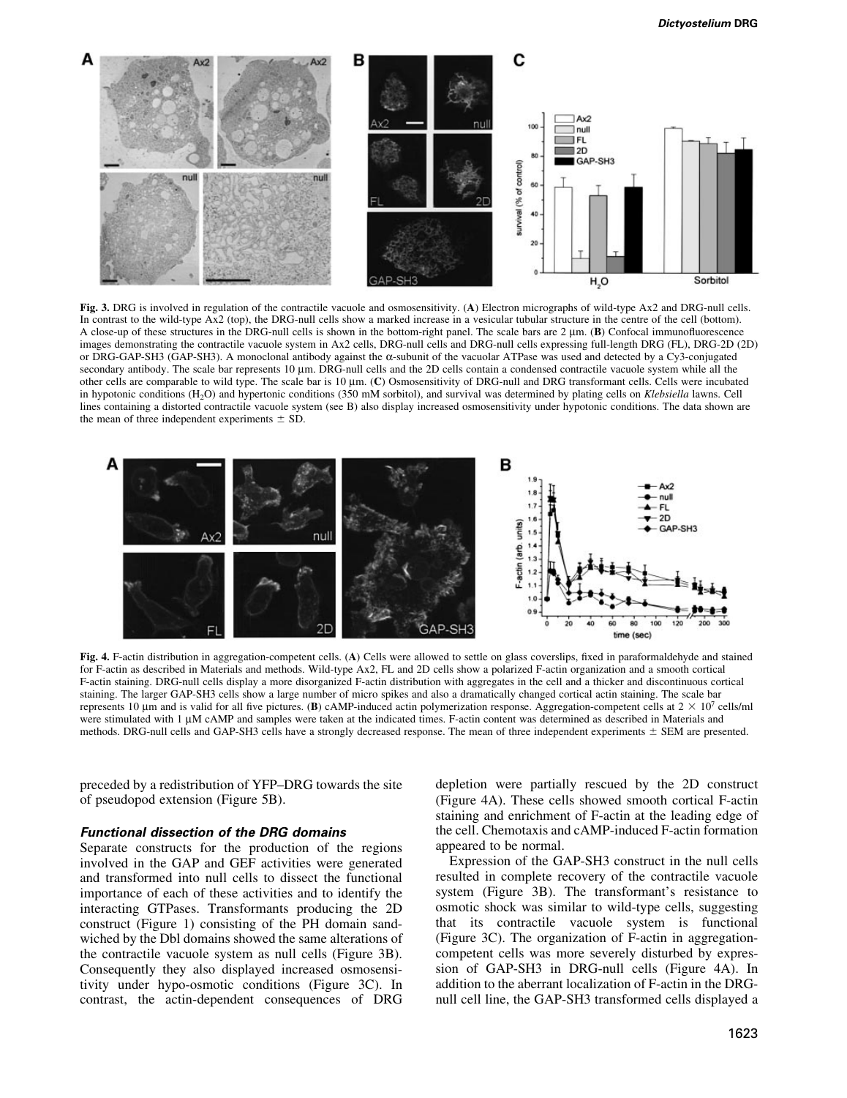

Fig. 3. DRG is involved in regulation of the contractile vacuole and osmosensitivity. (A) Electron micrographs of wild-type Ax2 and DRG-null cells. In contrast to the wild-type Ax2 (top), the DRG-null cells show a marked increase in a vesicular tubular structure in the centre of the cell (bottom). A close-up of these structures in the DRG-null cells is shown in the bottom-right panel. The scale bars are 2  $\mu$ m. (B) Confocal immunofluorescence images demonstrating the contractile vacuole system in Ax2 cells, DRG-null cells and DRG-null cells expressing full-length DRG (FL), DRG-2D (2D) or DRG-GAP-SH3 (GAP-SH3). A monoclonal antibody against the  $\alpha$ -subunit of the vacuolar ATPase was used and detected by a Cy3-conjugated secondary antibody. The scale bar represents 10 µm. DRG-null cells and the 2D cells contain a condensed contractile vacuole system while all the other cells are comparable to wild type. The scale bar is 10  $\mu$ m. (C) Osmosensitivity of DRG-null and DRG transformant cells. Cells were incubated in hypotonic conditions (H<sub>2</sub>O) and hypertonic conditions (350 mM sorbitol), and survival was determined by plating cells on Klebsiella lawns. Cell lines containing a distorted contractile vacuole system (see B) also display increased osmosensitivity under hypotonic conditions. The data shown are the mean of three independent experiments  $\pm$  SD.



Fig. 4. F-actin distribution in aggregation-competent cells. (A) Cells were allowed to settle on glass coverslips, fixed in paraformaldehyde and stained for F-actin as described in Materials and methods. Wild-type Ax2, FL and 2D cells show a polarized F-actin organization and a smooth cortical F-actin staining. DRG-null cells display a more disorganized F-actin distribution with aggregates in the cell and a thicker and discontinuous cortical staining. The larger GAP-SH3 cells show a large number of micro spikes and also a dramatically changed cortical actin staining. The scale bar represents 10 um and is valid for all five pictures. (B) cAMP-induced actin polymerization response. Aggregation-competent cells at  $2 \times 10^7$  cells/ml were stimulated with 1 µM cAMP and samples were taken at the indicated times. F-actin content was determined as described in Materials and methods. DRG-null cells and GAP-SH3 cells have a strongly decreased response. The mean of three independent experiments  $\pm$  SEM are presented.

preceded by a redistribution of YFP-DRG towards the site of pseudopod extension (Figure 5B).

### Functional dissection of the DRG domains

Separate constructs for the production of the regions involved in the GAP and GEF activities were generated and transformed into null cells to dissect the functional importance of each of these activities and to identify the interacting GTPases. Transformants producing the 2D construct (Figure 1) consisting of the PH domain sandwiched by the Dbl domains showed the same alterations of the contractile vacuole system as null cells (Figure 3B). Consequently they also displayed increased osmosensitivity under hypo-osmotic conditions (Figure 3C). In contrast, the actin-dependent consequences of DRG depletion were partially rescued by the 2D construct (Figure 4A). These cells showed smooth cortical F-actin staining and enrichment of F-actin at the leading edge of the cell. Chemotaxis and cAMP-induced F-actin formation appeared to be normal.

Expression of the GAP-SH3 construct in the null cells resulted in complete recovery of the contractile vacuole system (Figure 3B). The transformant's resistance to osmotic shock was similar to wild-type cells, suggesting that its contractile vacuole system is functional (Figure 3C). The organization of F-actin in aggregationcompetent cells was more severely disturbed by expression of GAP-SH3 in DRG-null cells (Figure 4A). In addition to the aberrant localization of F-actin in the DRGnull cell line, the GAP-SH3 transformed cells displayed a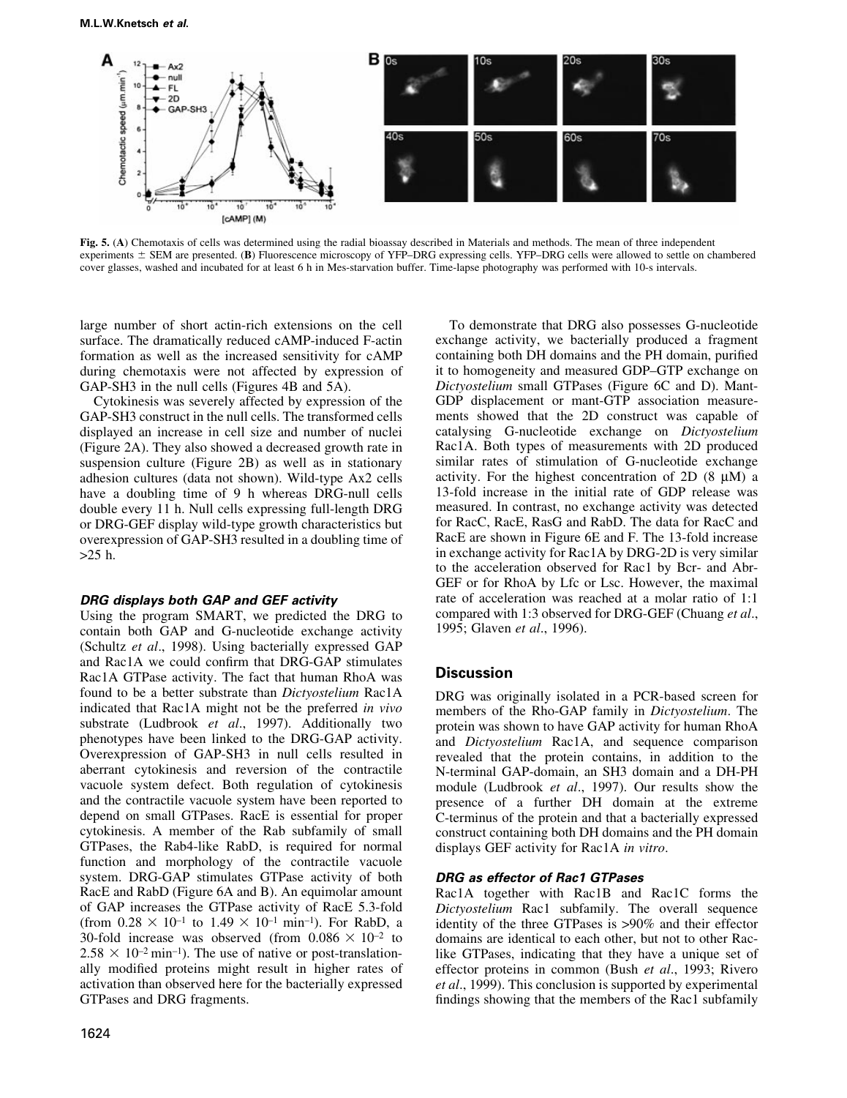

Fig. 5. (A) Chemotaxis of cells was determined using the radial bioassay described in Materials and methods. The mean of three independent experiments  $\pm$  SEM are presented. (B) Fluorescence microscopy of YFP-DRG expressing cells. YFP-DRG cells were allowed to settle on chambered cover glasses, washed and incubated for at least 6 h in Mes-starvation buffer. Time-lapse photography was performed with 10-s intervals.

large number of short actin-rich extensions on the cell surface. The dramatically reduced cAMP-induced F-actin formation as well as the increased sensitivity for cAMP during chemotaxis were not affected by expression of GAP-SH3 in the null cells (Figures 4B and 5A).

Cytokinesis was severely affected by expression of the GAP-SH3 construct in the null cells. The transformed cells displayed an increase in cell size and number of nuclei (Figure 2A). They also showed a decreased growth rate in suspension culture (Figure 2B) as well as in stationary adhesion cultures (data not shown). Wild-type Ax2 cells have a doubling time of 9 h whereas DRG-null cells double every 11 h. Null cells expressing full-length DRG or DRG-GEF display wild-type growth characteristics but overexpression of GAP-SH3 resulted in a doubling time of >25 h.

### DRG displays both GAP and GEF activity

Using the program SMART, we predicted the DRG to contain both GAP and G-nucleotide exchange activity (Schultz et al., 1998). Using bacterially expressed GAP and Rac1A we could confirm that DRG-GAP stimulates Rac1A GTPase activity. The fact that human RhoA was found to be a better substrate than Dictyostelium Rac1A indicated that Rac1A might not be the preferred in vivo substrate (Ludbrook et al., 1997). Additionally two phenotypes have been linked to the DRG-GAP activity. Overexpression of GAP-SH3 in null cells resulted in aberrant cytokinesis and reversion of the contractile vacuole system defect. Both regulation of cytokinesis and the contractile vacuole system have been reported to depend on small GTPases. RacE is essential for proper cytokinesis. A member of the Rab subfamily of small GTPases, the Rab4-like RabD, is required for normal function and morphology of the contractile vacuole system. DRG-GAP stimulates GTPase activity of both RacE and RabD (Figure 6A and B). An equimolar amount of GAP increases the GTPase activity of RacE 5.3-fold (from  $0.28 \times 10^{-1}$  to  $1.49 \times 10^{-1}$  min<sup>-1</sup>). For RabD, a 30-fold increase was observed (from  $0.086 \times 10^{-2}$  to  $2.58 \times 10^{-2}$  min<sup>-1</sup>). The use of native or post-translationally modified proteins might result in higher rates of activation than observed here for the bacterially expressed GTPases and DRG fragments.

To demonstrate that DRG also possesses G-nucleotide exchange activity, we bacterially produced a fragment containing both DH domains and the PH domain, purified it to homogeneity and measured GDP-GTP exchange on Dictyostelium small GTPases (Figure 6C and D). Mant-GDP displacement or mant-GTP association measurements showed that the 2D construct was capable of catalysing G-nucleotide exchange on Dictyostelium Rac1A. Both types of measurements with 2D produced similar rates of stimulation of G-nucleotide exchange activity. For the highest concentration of  $2D(8 \mu M)$  a 13-fold increase in the initial rate of GDP release was measured. In contrast, no exchange activity was detected for RacC, RacE, RasG and RabD. The data for RacC and RacE are shown in Figure 6E and F. The 13-fold increase in exchange activity for Rac1A by DRG-2D is very similar to the acceleration observed for Rac1 by Bcr- and Abr-GEF or for RhoA by Lfc or Lsc. However, the maximal rate of acceleration was reached at a molar ratio of 1:1 compared with 1:3 observed for DRG-GEF (Chuang et al., 1995; Glaven et al., 1996).

# **Discussion**

DRG was originally isolated in a PCR-based screen for members of the Rho-GAP family in Dictyostelium. The protein was shown to have GAP activity for human RhoA and Dictyostelium Rac1A, and sequence comparison revealed that the protein contains, in addition to the N-terminal GAP-domain, an SH3 domain and a DH-PH module (Ludbrook et al., 1997). Our results show the presence of a further DH domain at the extreme C-terminus of the protein and that a bacterially expressed construct containing both DH domains and the PH domain displays GEF activity for Rac1A in vitro.

# DRG as effector of Rac1 GTPases

Rac1A together with Rac1B and Rac1C forms the Dictyostelium Rac1 subfamily. The overall sequence identity of the three GTPases is >90% and their effector domains are identical to each other, but not to other Raclike GTPases, indicating that they have a unique set of effector proteins in common (Bush et al., 1993; Rivero et al., 1999). This conclusion is supported by experimental findings showing that the members of the Rac1 subfamily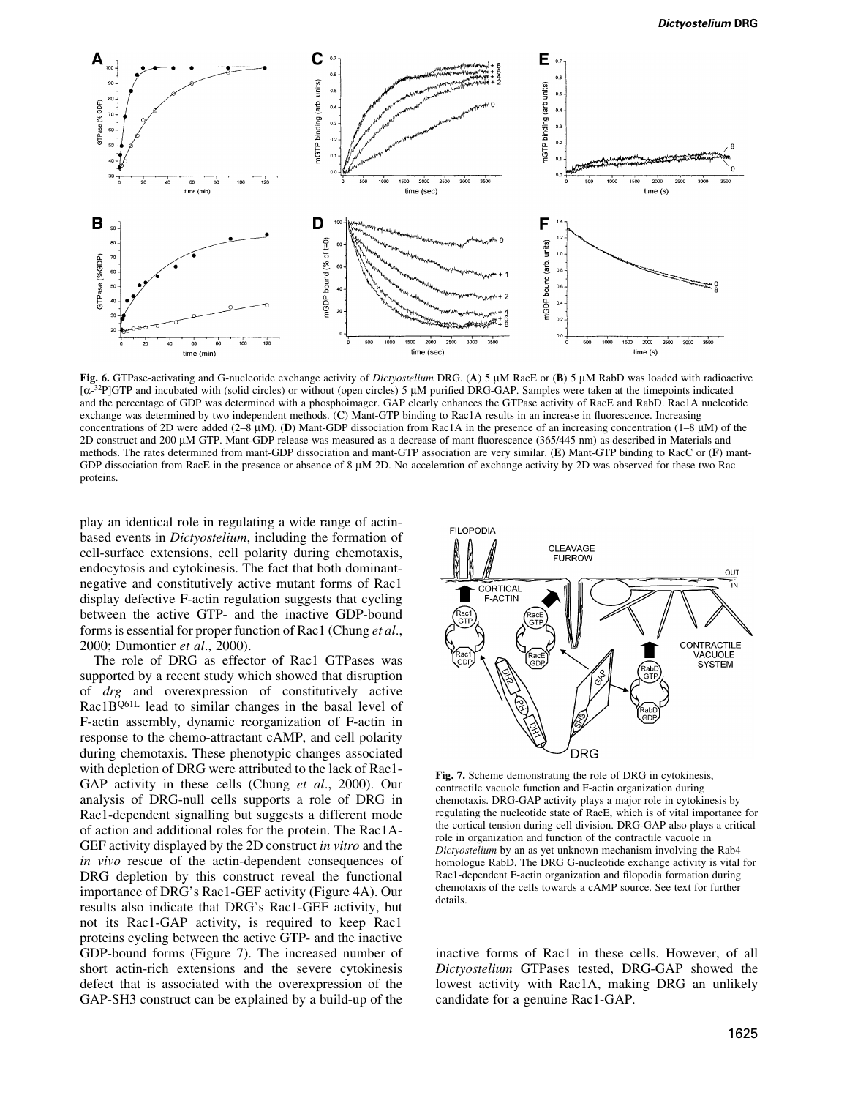

Fig. 6. GTPase-activating and G-nucleotide exchange activity of Dictyostelium DRG. (A) 5 µM RacE or (B) 5 µM RabD was loaded with radioactive  $[\alpha^{-32}P]GTP$  and incubated with (solid circles) or without (open circles) 5  $\mu$ M purified DRG-GAP. Samples were taken at the timepoints indicated and the percentage of GDP was determined with a phosphoimager. GAP clearly enhances the GTPase activity of RacE and RabD. Rac1A nucleotide exchange was determined by two independent methods. (C) Mant-GTP binding to Rac1A results in an increase in fluorescence. Increasing concentrations of 2D were added (2-8  $\mu$ M). (D) Mant-GDP dissociation from Rac1A in the presence of an increasing concentration (1-8  $\mu$ M) of the  $2D$  construct and  $200 \mu$ M GTP. Mant-GDP release was measured as a decrease of mant fluorescence (365/445 nm) as described in Materials and methods. The rates determined from mant-GDP dissociation and mant-GTP association are very similar. (E) Mant-GTP binding to RacC or (F) mant-GDP dissociation from RacE in the presence or absence of  $8 \mu M$  2D. No acceleration of exchange activity by 2D was observed for these two Rac proteins.

play an identical role in regulating a wide range of actinbased events in Dictyostelium, including the formation of cell-surface extensions, cell polarity during chemotaxis, endocytosis and cytokinesis. The fact that both dominantnegative and constitutively active mutant forms of Rac1 display defective F-actin regulation suggests that cycling between the active GTP- and the inactive GDP-bound forms is essential for proper function of Rac1 (Chung et al., 2000; Dumontier et al., 2000).

The role of DRG as effector of Rac1 GTPases was supported by a recent study which showed that disruption of drg and overexpression of constitutively active Rac1B<sup>Q61L</sup> lead to similar changes in the basal level of F-actin assembly, dynamic reorganization of F-actin in response to the chemo-attractant cAMP, and cell polarity during chemotaxis. These phenotypic changes associated with depletion of DRG were attributed to the lack of Rac1- GAP activity in these cells (Chung et al., 2000). Our analysis of DRG-null cells supports a role of DRG in Rac1-dependent signalling but suggests a different mode of action and additional roles for the protein. The Rac1A-GEF activity displayed by the 2D construct in vitro and the in vivo rescue of the actin-dependent consequences of DRG depletion by this construct reveal the functional importance of DRG's Rac1-GEF activity (Figure 4A). Our results also indicate that DRG's Rac1-GEF activity, but not its Rac1-GAP activity, is required to keep Rac1 proteins cycling between the active GTP- and the inactive GDP-bound forms (Figure 7). The increased number of short actin-rich extensions and the severe cytokinesis defect that is associated with the overexpression of the GAP-SH3 construct can be explained by a build-up of the



Fig. 7. Scheme demonstrating the role of DRG in cytokinesis, contractile vacuole function and F-actin organization during chemotaxis. DRG-GAP activity plays a major role in cytokinesis by regulating the nucleotide state of RacE, which is of vital importance for the cortical tension during cell division. DRG-GAP also plays a critical role in organization and function of the contractile vacuole in Dictyostelium by an as yet unknown mechanism involving the Rab4 homologue RabD. The DRG G-nucleotide exchange activity is vital for Rac1-dependent F-actin organization and filopodia formation during chemotaxis of the cells towards a cAMP source. See text for further details.

inactive forms of Rac1 in these cells. However, of all Dictyostelium GTPases tested, DRG-GAP showed the lowest activity with Rac1A, making DRG an unlikely candidate for a genuine Rac1-GAP.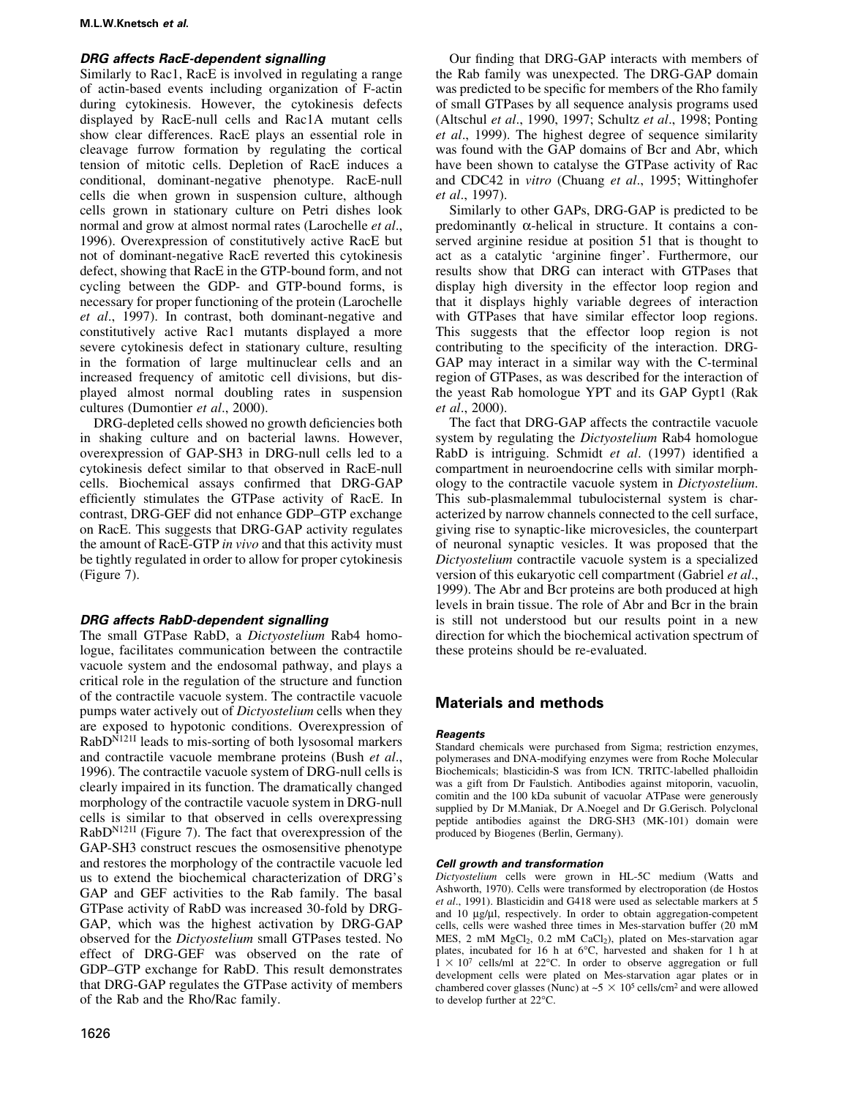# DRG affects RacE-dependent signalling

Similarly to Rac1, RacE is involved in regulating a range of actin-based events including organization of F-actin during cytokinesis. However, the cytokinesis defects displayed by RacE-null cells and Rac1A mutant cells show clear differences. RacE plays an essential role in cleavage furrow formation by regulating the cortical tension of mitotic cells. Depletion of RacE induces a conditional, dominant-negative phenotype. RacE-null cells die when grown in suspension culture, although cells grown in stationary culture on Petri dishes look normal and grow at almost normal rates (Larochelle et al., 1996). Overexpression of constitutively active RacE but not of dominant-negative RacE reverted this cytokinesis defect, showing that RacE in the GTP-bound form, and not cycling between the GDP- and GTP-bound forms, is necessary for proper functioning of the protein (Larochelle et al., 1997). In contrast, both dominant-negative and constitutively active Rac1 mutants displayed a more severe cytokinesis defect in stationary culture, resulting in the formation of large multinuclear cells and an increased frequency of amitotic cell divisions, but displayed almost normal doubling rates in suspension cultures (Dumontier et al., 2000).

DRG-depleted cells showed no growth deficiencies both in shaking culture and on bacterial lawns. However, overexpression of GAP-SH3 in DRG-null cells led to a cytokinesis defect similar to that observed in RacE-null cells. Biochemical assays confirmed that DRG-GAP efficiently stimulates the GTPase activity of RacE. In contrast, DRG-GEF did not enhance GDP-GTP exchange on RacE. This suggests that DRG-GAP activity regulates the amount of RacE-GTP in vivo and that this activity must be tightly regulated in order to allow for proper cytokinesis (Figure 7).

# DRG affects RabD-dependent signalling

The small GTPase RabD, a Dictyostelium Rab4 homologue, facilitates communication between the contractile vacuole system and the endosomal pathway, and plays a critical role in the regulation of the structure and function of the contractile vacuole system. The contractile vacuole pumps water actively out of Dictyostelium cells when they are exposed to hypotonic conditions. Overexpression of RabD<sup>N121I</sup> leads to mis-sorting of both lysosomal markers and contractile vacuole membrane proteins (Bush et al., 1996). The contractile vacuole system of DRG-null cells is clearly impaired in its function. The dramatically changed morphology of the contractile vacuole system in DRG-null cells is similar to that observed in cells overexpressing RabDN121I (Figure 7). The fact that overexpression of the GAP-SH3 construct rescues the osmosensitive phenotype and restores the morphology of the contractile vacuole led us to extend the biochemical characterization of DRG's GAP and GEF activities to the Rab family. The basal GTPase activity of RabD was increased 30-fold by DRG-GAP, which was the highest activation by DRG-GAP observed for the Dictyostelium small GTPases tested. No effect of DRG-GEF was observed on the rate of GDP-GTP exchange for RabD. This result demonstrates that DRG-GAP regulates the GTPase activity of members of the Rab and the Rho/Rac family.

Our finding that DRG-GAP interacts with members of the Rab family was unexpected. The DRG-GAP domain was predicted to be specific for members of the Rho family of small GTPases by all sequence analysis programs used (Altschul et al., 1990, 1997; Schultz et al., 1998; Ponting et al., 1999). The highest degree of sequence similarity was found with the GAP domains of Bcr and Abr, which have been shown to catalyse the GTPase activity of Rac and CDC42 in vitro (Chuang et al., 1995; Wittinghofer et al., 1997).

Similarly to other GAPs, DRG-GAP is predicted to be predominantly  $\alpha$ -helical in structure. It contains a conserved arginine residue at position 51 that is thought to act as a catalytic 'arginine finger'. Furthermore, our results show that DRG can interact with GTPases that display high diversity in the effector loop region and that it displays highly variable degrees of interaction with GTPases that have similar effector loop regions. This suggests that the effector loop region is not contributing to the specificity of the interaction. DRG-GAP may interact in a similar way with the C-terminal region of GTPases, as was described for the interaction of the yeast Rab homologue YPT and its GAP Gypt1 (Rak et al., 2000).

The fact that DRG-GAP affects the contractile vacuole system by regulating the Dictyostelium Rab4 homologue RabD is intriguing. Schmidt et al. (1997) identified a compartment in neuroendocrine cells with similar morphology to the contractile vacuole system in Dictyostelium. This sub-plasmalemmal tubulocisternal system is characterized by narrow channels connected to the cell surface, giving rise to synaptic-like microvesicles, the counterpart of neuronal synaptic vesicles. It was proposed that the Dictyostelium contractile vacuole system is a specialized version of this eukaryotic cell compartment (Gabriel et al., 1999). The Abr and Bcr proteins are both produced at high levels in brain tissue. The role of Abr and Bcr in the brain is still not understood but our results point in a new direction for which the biochemical activation spectrum of these proteins should be re-evaluated.

# Materials and methods

# **Reagents**

Standard chemicals were purchased from Sigma; restriction enzymes, polymerases and DNA-modifying enzymes were from Roche Molecular Biochemicals; blasticidin-S was from ICN. TRITC-labelled phalloidin was a gift from Dr Faulstich. Antibodies against mitoporin, vacuolin, comitin and the 100 kDa subunit of vacuolar ATPase were generously supplied by Dr M.Maniak, Dr A.Noegel and Dr G.Gerisch. Polyclonal peptide antibodies against the DRG-SH3 (MK-101) domain were produced by Biogenes (Berlin, Germany).

# Cell growth and transformation

Dictyostelium cells were grown in HL-5C medium (Watts and Ashworth, 1970). Cells were transformed by electroporation (de Hostos et al., 1991). Blasticidin and G418 were used as selectable markers at 5 and 10 µg/µl, respectively. In order to obtain aggregation-competent cells, cells were washed three times in Mes-starvation buffer (20 mM MES, 2 mM MgCl<sub>2</sub>, 0.2 mM CaCl<sub>2</sub>), plated on Mes-starvation agar plates, incubated for 16 h at 6°C, harvested and shaken for 1 h at  $1 \times 10^7$  cells/ml at 22°C. In order to observe aggregation or full development cells were plated on Mes-starvation agar plates or in chambered cover glasses (Nunc) at  $\sim$  5  $\times$  10<sup>5</sup> cells/cm<sup>2</sup> and were allowed to develop further at 22°C.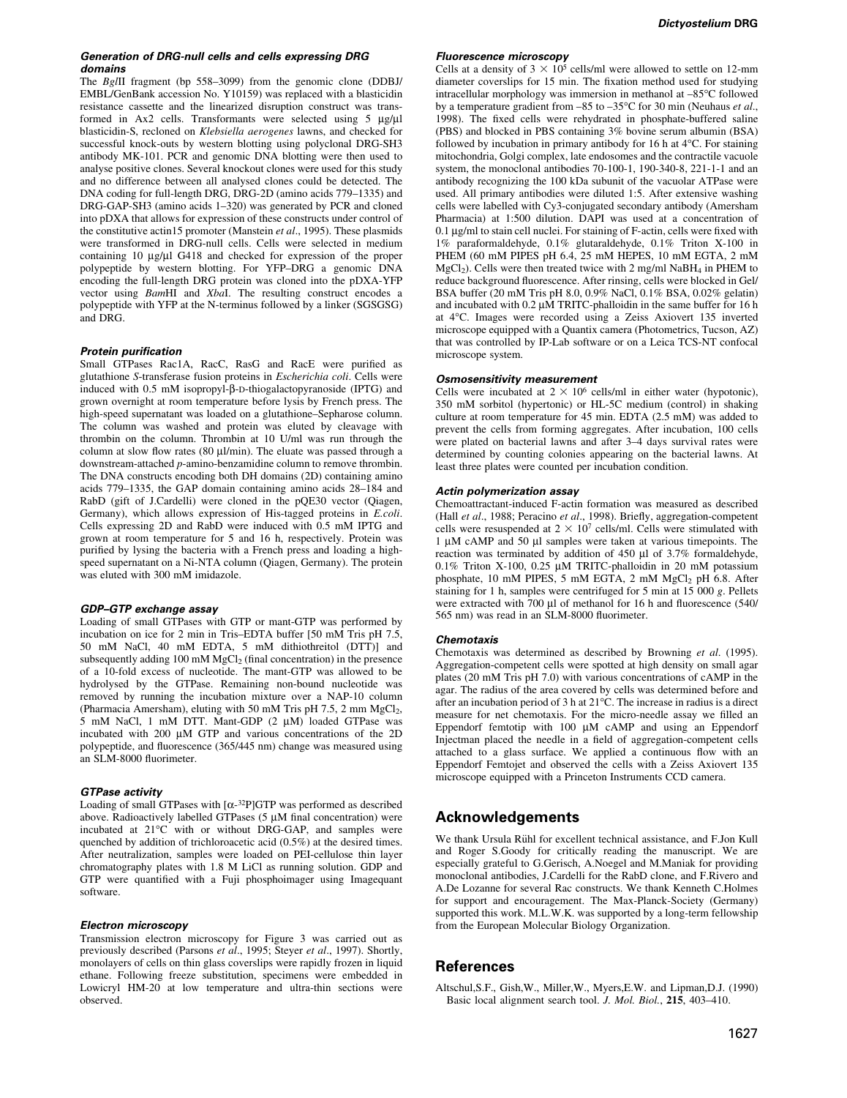#### Generation of DRG-null cells and cells expressing DRG domains

The BglII fragment (bp 558-3099) from the genomic clone (DDBJ/ EMBL/GenBank accession No. Y10159) was replaced with a blasticidin resistance cassette and the linearized disruption construct was transformed in Ax2 cells. Transformants were selected using  $5 \mu g/\mu l$ blasticidin-S, recloned on Klebsiella aerogenes lawns, and checked for successful knock-outs by western blotting using polyclonal DRG-SH3 antibody MK-101. PCR and genomic DNA blotting were then used to analyse positive clones. Several knockout clones were used for this study and no difference between all analysed clones could be detected. The DNA coding for full-length DRG, DRG-2D (amino acids 779-1335) and DRG-GAP-SH3 (amino acids 1-320) was generated by PCR and cloned into pDXA that allows for expression of these constructs under control of the constitutive actin15 promoter (Manstein et al., 1995). These plasmids were transformed in DRG-null cells. Cells were selected in medium containing 10 µg/µl G418 and checked for expression of the proper polypeptide by western blotting. For YFP-DRG a genomic DNA encoding the full-length DRG protein was cloned into the pDXA-YFP vector using *BamHI* and *XbaI*. The resulting construct encodes a polypeptide with YFP at the N-terminus followed by a linker (SGSGSG) and DRG.

### **Protein purification**

Small GTPases Rac1A, RacC, RasG and RacE were purified as glutathione S-transferase fusion proteins in Escherichia coli. Cells were induced with 0.5 mM isopropyl-B-D-thiogalactopyranoside (IPTG) and grown overnight at room temperature before lysis by French press. The high-speed supernatant was loaded on a glutathione-Sepharose column. The column was washed and protein was eluted by cleavage with thrombin on the column. Thrombin at 10 U/ml was run through the column at slow flow rates (80  $\mu$ l/min). The eluate was passed through a downstream-attached p-amino-benzamidine column to remove thrombin. The DNA constructs encoding both DH domains (2D) containing amino acids 779-1335, the GAP domain containing amino acids 28-184 and RabD (gift of J.Cardelli) were cloned in the pQE30 vector (Qiagen, Germany), which allows expression of His-tagged proteins in *E.coli.* Cells expressing 2D and RabD were induced with 0.5 mM IPTG and grown at room temperature for 5 and 16 h, respectively. Protein was purified by lysing the bacteria with a French press and loading a highspeed supernatant on a Ni-NTA column (Qiagen, Germany). The protein was eluted with 300 mM imidazole.

### GDP-GTP exchange assay

Loading of small GTPases with GTP or mant-GTP was performed by incubation on ice for 2 min in Tris-EDTA buffer  $[50 \text{ mM}$  Tris pH 7.5, 50 mM NaCl, 40 mM EDTA, 5 mM dithiothreitol (DTT)] and subsequently adding 100 mM  $MgCl<sub>2</sub>$  (final concentration) in the presence of a 10-fold excess of nucleotide. The mant-GTP was allowed to be hydrolysed by the GTPase. Remaining non-bound nucleotide was removed by running the incubation mixture over a NAP-10 column (Pharmacia Amersham), eluting with 50 mM Tris pH 7.5, 2 mm  $MgCl<sub>2</sub>$ , 5 mM NaCl, 1 mM DTT. Mant-GDP (2 µM) loaded GTPase was incubated with  $200 \mu M$  GTP and various concentrations of the  $2D$ polypeptide, and fluorescence  $(365/445 \text{ nm})$  change was measured using an SLM-8000 fluorimeter.

#### GTPase activity

Loading of small GTPases with  $[\alpha^{-32}P]$ GTP was performed as described above. Radioactively labelled GTPases (5 µM final concentration) were incubated at 21°C with or without DRG-GAP, and samples were quenched by addition of trichloroacetic acid (0.5%) at the desired times. After neutralization, samples were loaded on PEI-cellulose thin layer chromatography plates with 1.8 M LiCl as running solution. GDP and GTP were quantified with a Fuji phosphoimager using Imagequant software.

#### Electron microscopy

Transmission electron microscopy for Figure 3 was carried out as previously described (Parsons et al., 1995; Steyer et al., 1997). Shortly, monolayers of cells on thin glass coverslips were rapidly frozen in liquid ethane. Following freeze substitution, specimens were embedded in Lowicryl HM-20 at low temperature and ultra-thin sections were observed.

### Fluorescence microscopy

Cells at a density of  $3 \times 10^5$  cells/ml were allowed to settle on 12-mm diameter coverslips for 15 min. The fixation method used for studying intracellular morphology was immersion in methanol at -85°C followed by a temperature gradient from  $-85$  to  $-35^{\circ}$ C for 30 min (Neuhaus *et al.*, 1998). The fixed cells were rehydrated in phosphate-buffered saline (PBS) and blocked in PBS containing 3% bovine serum albumin (BSA) followed by incubation in primary antibody for 16 h at 4°C. For staining mitochondria, Golgi complex, late endosomes and the contractile vacuole system, the monoclonal antibodies 70-100-1, 190-340-8, 221-1-1 and an antibody recognizing the 100 kDa subunit of the vacuolar ATPase were used. All primary antibodies were diluted 1:5. After extensive washing cells were labelled with Cy3-conjugated secondary antibody (Amersham Pharmacia) at 1:500 dilution. DAPI was used at a concentration of  $0.1 \mu$ g/ml to stain cell nuclei. For staining of F-actin, cells were fixed with 1% paraformaldehyde, 0.1% glutaraldehyde, 0.1% Triton X-100 in PHEM (60 mM PIPES pH 6.4, 25 mM HEPES, 10 mM EGTA, 2 mM  $MgCl<sub>2</sub>$ ). Cells were then treated twice with 2 mg/ml NaBH<sub>4</sub> in PHEM to reduce background fluorescence. After rinsing, cells were blocked in Gel/ BSA buffer (20 mM Tris pH 8.0, 0.9% NaCl, 0.1% BSA, 0.02% gelatin) and incubated with  $0.2 \mu M$  TRITC-phalloidin in the same buffer for 16 h at 4°C. Images were recorded using a Zeiss Axiovert 135 inverted microscope equipped with a Quantix camera (Photometrics, Tucson, AZ) that was controlled by IP-Lab software or on a Leica TCS-NT confocal microscope system.

#### Osmosensitivity measurement

Cells were incubated at  $2 \times 10^6$  cells/ml in either water (hypotonic), 350 mM sorbitol (hypertonic) or HL-5C medium (control) in shaking culture at room temperature for 45 min. EDTA (2.5 mM) was added to prevent the cells from forming aggregates. After incubation, 100 cells were plated on bacterial lawns and after 3-4 days survival rates were determined by counting colonies appearing on the bacterial lawns. At least three plates were counted per incubation condition.

#### Actin polymerization assay

Chemoattractant-induced F-actin formation was measured as described (Hall et al., 1988; Peracino et al., 1998). Briefly, aggregation-competent cells were resuspended at  $2 \times 10^7$  cells/ml. Cells were stimulated with 1 µM cAMP and 50 µl samples were taken at various timepoints. The reaction was terminated by addition of  $450 \mu l$  of  $3.7\%$  formaldehyde,  $0.1\%$  Triton X-100, 0.25 µM TRITC-phalloidin in 20 mM potassium phosphate, 10 mM PIPES, 5 mM EGTA, 2 mM MgCl<sub>2</sub> pH 6.8. After staining for 1 h, samples were centrifuged for 5 min at 15 000 g. Pellets were extracted with  $700 \mu l$  of methanol for 16 h and fluorescence (540/ 565 nm) was read in an SLM-8000 fluorimeter.

#### Chemotaxis

Chemotaxis was determined as described by Browning et al. (1995). Aggregation-competent cells were spotted at high density on small agar plates (20 mM Tris pH 7.0) with various concentrations of cAMP in the agar. The radius of the area covered by cells was determined before and after an incubation period of 3 h at 21°C. The increase in radius is a direct measure for net chemotaxis. For the micro-needle assay we filled an Eppendorf femtotip with  $100 \mu M$  cAMP and using an Eppendorf Injectman placed the needle in a field of aggregation-competent cells attached to a glass surface. We applied a continuous flow with an Eppendorf Femtojet and observed the cells with a Zeiss Axiovert 135 microscope equipped with a Princeton Instruments CCD camera.

# Acknowledgements

We thank Ursula Rühl for excellent technical assistance, and F.Jon Kull and Roger S.Goody for critically reading the manuscript. We are especially grateful to G.Gerisch, A.Noegel and M.Maniak for providing monoclonal antibodies, J.Cardelli for the RabD clone, and F.Rivero and A.De Lozanne for several Rac constructs. We thank Kenneth C.Holmes for support and encouragement. The Max-Planck-Society (Germany) supported this work. M.L.W.K. was supported by a long-term fellowship from the European Molecular Biology Organization.

### **References**

Altschul,S.F., Gish,W., Miller,W., Myers,E.W. and Lipman,D.J. (1990) Basic local alignment search tool. J. Mol. Biol., 215, 403-410.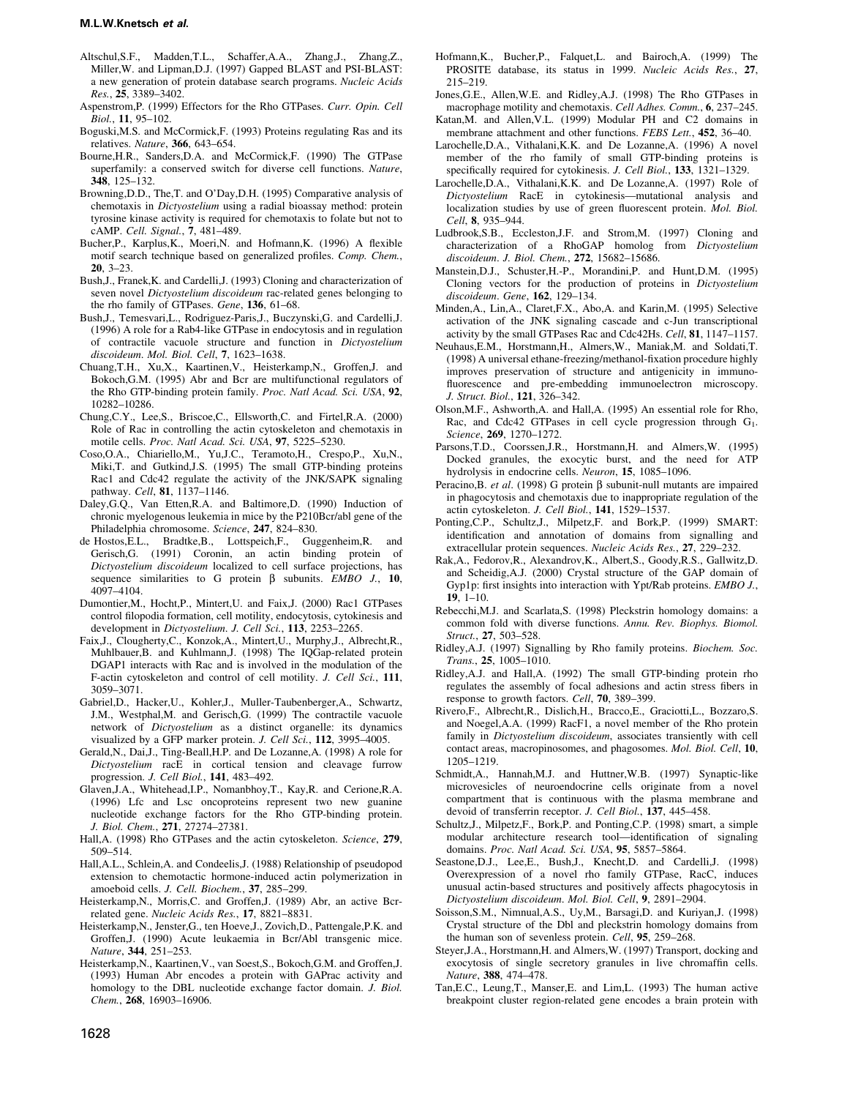### M.L.W.Knetsch et al.

- Altschul,S.F., Madden,T.L., Schaffer,A.A., Zhang,J., Zhang,Z., Miller,W. and Lipman,D.J. (1997) Gapped BLAST and PSI-BLAST: a new generation of protein database search programs. Nucleic Acids Res., 25, 3389-3402.
- Aspenstrom,P. (1999) Effectors for the Rho GTPases. Curr. Opin. Cell Biol., 11, 95-102.
- Boguski,M.S. and McCormick,F. (1993) Proteins regulating Ras and its relatives. Nature,  $366, 643-654$ .
- Bourne,H.R., Sanders,D.A. and McCormick,F. (1990) The GTPase superfamily: a conserved switch for diverse cell functions. Nature, 348, 125±132.
- Browning,D.D., The,T. and O'Day,D.H. (1995) Comparative analysis of chemotaxis in Dictyostelium using a radial bioassay method: protein tyrosine kinase activity is required for chemotaxis to folate but not to cAMP. Cell. Signal., 7, 481-489.
- Bucher,P., Karplus,K., Moeri,N. and Hofmann,K. (1996) A flexible motif search technique based on generalized profiles. Comp. Chem.,  $20, 3-23.$
- Bush,J., Franek,K. and Cardelli,J. (1993) Cloning and characterization of seven novel *Dictyostelium discoideum* rac-related genes belonging to the rho family of GTPases. Gene, 136, 61-68.
- Bush,J., Temesvari,L., Rodriguez-Paris,J., Buczynski,G. and Cardelli,J. (1996) A role for a Rab4-like GTPase in endocytosis and in regulation of contractile vacuole structure and function in Dictyostelium discoideum. Mol. Biol. Cell,  $7, 1623-1638$ .
- Chuang,T.H., Xu,X., Kaartinen,V., Heisterkamp,N., Groffen,J. and Bokoch,G.M. (1995) Abr and Bcr are multifunctional regulators of the Rho GTP-binding protein family. Proc. Natl Acad. Sci. USA, 92, 10282±10286.
- Chung,C.Y., Lee,S., Briscoe,C., Ellsworth,C. and Firtel,R.A. (2000) Role of Rac in controlling the actin cytoskeleton and chemotaxis in motile cells. Proc. Natl Acad. Sci. USA, 97, 5225-5230.
- Coso,O.A., Chiariello,M., Yu,J.C., Teramoto,H., Crespo,P., Xu,N., Miki,T. and Gutkind,J.S. (1995) The small GTP-binding proteins Rac1 and Cdc42 regulate the activity of the JNK/SAPK signaling pathway. Cell, 81, 1137-1146.
- Daley,G.Q., Van Etten,R.A. and Baltimore,D. (1990) Induction of chronic myelogenous leukemia in mice by the P210Bcr/abl gene of the Philadelphia chromosome. Science, 247, 824-830.
- de Hostos,E.L., Bradtke,B., Lottspeich,F., Guggenheim,R. and Gerisch,G. (1991) Coronin, an actin binding protein of Dictyostelium discoideum localized to cell surface projections, has sequence similarities to G protein  $\beta$  subunits. EMBO J., 10, 4097±4104.
- Dumontier,M., Hocht,P., Mintert,U. and Faix,J. (2000) Rac1 GTPases control filopodia formation, cell motility, endocytosis, cytokinesis and development in Dictyostelium. J. Cell Sci., 113, 2253-2265.
- Faix,J., Clougherty,C., Konzok,A., Mintert,U., Murphy,J., Albrecht,R., Muhlbauer,B. and Kuhlmann,J. (1998) The IQGap-related protein DGAP1 interacts with Rac and is involved in the modulation of the F-actin cytoskeleton and control of cell motility. J. Cell Sci., 111, 3059±3071.
- Gabriel,D., Hacker,U., Kohler,J., Muller-Taubenberger,A., Schwartz, J.M., Westphal,M. and Gerisch,G. (1999) The contractile vacuole network of Dictyostelium as a distinct organelle: its dynamics visualized by a GFP marker protein. J. Cell Sci.,  $112$ , 3995-4005.
- Gerald,N., Dai,J., Ting-Beall,H.P. and De Lozanne,A. (1998) A role for Dictyostelium racE in cortical tension and cleavage furrow progression. J. Cell Biol., 141, 483-492.
- Glaven,J.A., Whitehead,I.P., Nomanbhoy,T., Kay,R. and Cerione,R.A. (1996) Lfc and Lsc oncoproteins represent two new guanine nucleotide exchange factors for the Rho GTP-binding protein. J. Biol. Chem., 271, 27274-27381.
- Hall, A. (1998) Rho GTPases and the actin cytoskeleton. Science, 279, 509-514.
- Hall,A.L., Schlein,A. and Condeelis,J. (1988) Relationship of pseudopod extension to chemotactic hormone-induced actin polymerization in amoeboid cells. J. Cell. Biochem., 37, 285-299.
- Heisterkamp,N., Morris,C. and Groffen,J. (1989) Abr, an active Bcrrelated gene. Nucleic Acids Res., 17, 8821-8831.
- Heisterkamp,N., Jenster,G., ten Hoeve,J., Zovich,D., Pattengale,P.K. and Groffen,J. (1990) Acute leukaemia in Bcr/Abl transgenic mice. Nature, 344, 251-253.
- Heisterkamp,N., Kaartinen,V., van Soest,S., Bokoch,G.M. and Groffen,J. (1993) Human Abr encodes a protein with GAPrac activity and homology to the DBL nucleotide exchange factor domain. J. Biol. Chem., 268, 16903-16906.
- Hofmann,K., Bucher,P., Falquet,L. and Bairoch,A. (1999) The PROSITE database, its status in 1999. Nucleic Acids Res., 27, 215±219.
- Jones,G.E., Allen,W.E. and Ridley,A.J. (1998) The Rho GTPases in macrophage motility and chemotaxis. Cell Adhes. Comm., 6, 237–245.
- Katan,M. and Allen,V.L. (1999) Modular PH and C2 domains in membrane attachment and other functions. FEBS Lett., 452, 36-40.
- Larochelle,D.A., Vithalani,K.K. and De Lozanne,A. (1996) A novel member of the rho family of small GTP-binding proteins is specifically required for cytokinesis. J. Cell Biol., 133, 1321-1329.
- Larochelle,D.A., Vithalani,K.K. and De Lozanne,A. (1997) Role of Dictyostelium RacE in cytokinesis—mutational analysis and localization studies by use of green fluorescent protein. Mol. Biol. Cell, 8, 935-944.
- Ludbrook,S.B., Eccleston,J.F. and Strom,M. (1997) Cloning and characterization of a RhoGAP homolog from Dictyostelium discoideum. J. Biol. Chem., 272, 15682-15686.
- Manstein,D.J., Schuster,H.-P., Morandini,P. and Hunt,D.M. (1995) Cloning vectors for the production of proteins in Dictyostelium discoideum. Gene, 162, 129-134.
- Minden,A., Lin,A., Claret,F.X., Abo,A. and Karin,M. (1995) Selective activation of the JNK signaling cascade and c-Jun transcriptional activity by the small GTPases Rac and Cdc42Hs. Cell, 81, 1147-1157.
- Neuhaus,E.M., Horstmann,H., Almers,W., Maniak,M. and Soldati,T. (1998) A universal ethane-freezing/methanol-fixation procedure highly improves preservation of structure and antigenicity in immuno fluorescence and pre-embedding immunoelectron microscopy. J. Struct. Biol., 121, 326-342.
- Olson,M.F., Ashworth,A. and Hall,A. (1995) An essential role for Rho, Rac, and Cdc42 GTPases in cell cycle progression through G<sub>1</sub>. Science, 269, 1270-1272.
- Parsons,T.D., Coorssen,J.R., Horstmann,H. and Almers,W. (1995) Docked granules, the exocytic burst, and the need for ATP hydrolysis in endocrine cells. Neuron, 15, 1085-1096.
- Peracino, B. et al. (1998) G protein  $\beta$  subunit-null mutants are impaired in phagocytosis and chemotaxis due to inappropriate regulation of the actin cytoskeleton. J. Cell Biol., 141, 1529-1537.
- Ponting,C.P., Schultz,J., Milpetz,F. and Bork,P. (1999) SMART: identification and annotation of domains from signalling and extracellular protein sequences. Nucleic Acids Res., 27, 229-232.
- Rak,A., Fedorov,R., Alexandrov,K., Albert,S., Goody,R.S., Gallwitz,D. and Scheidig,A.J. (2000) Crystal structure of the GAP domain of Gyp1p: first insights into interaction with Ypt/Rab proteins. EMBO J., 19,  $1-10$ .
- Rebecchi,M.J. and Scarlata,S. (1998) Pleckstrin homology domains: a common fold with diverse functions. Annu. Rev. Biophys. Biomol. Struct., 27, 503-528.
- Ridley,A.J. (1997) Signalling by Rho family proteins. Biochem. Soc.  $Trans.$ , 25, 1005-1010.
- Ridley,A.J. and Hall,A. (1992) The small GTP-binding protein rho regulates the assembly of focal adhesions and actin stress fibers in response to growth factors. Cell, 70, 389-399.
- Rivero,F., Albrecht,R., Dislich,H., Bracco,E., Graciotti,L., Bozzaro,S. and Noegel,A.A. (1999) RacF1, a novel member of the Rho protein family in *Dictyostelium discoideum*, associates transiently with cell contact areas, macropinosomes, and phagosomes. Mol. Biol. Cell, 10, 1205±1219.
- Schmidt,A., Hannah,M.J. and Huttner,W.B. (1997) Synaptic-like microvesicles of neuroendocrine cells originate from a novel compartment that is continuous with the plasma membrane and devoid of transferrin receptor. J. Cell Biol., 137, 445-458.
- Schultz,J., Milpetz,F., Bork,P. and Ponting,C.P. (1998) smart, a simple modular architecture research tool—identification of signaling domains. Proc. Natl Acad. Sci. USA, 95, 5857-5864.
- Seastone,D.J., Lee,E., Bush,J., Knecht,D. and Cardelli,J. (1998) Overexpression of a novel rho family GTPase, RacC, induces unusual actin-based structures and positively affects phagocytosis in Dictyostelium discoideum. Mol. Biol. Cell, 9, 2891-2904.
- Soisson,S.M., Nimnual,A.S., Uy,M., Barsagi,D. and Kuriyan,J. (1998) Crystal structure of the Dbl and pleckstrin homology domains from the human son of sevenless protein. Cell,  $95$ ,  $259-268$ .
- Steyer,J.A., Horstmann,H. and Almers,W. (1997) Transport, docking and exocytosis of single secretory granules in live chromaffin cells. Nature, 388, 474-478.
- Tan,E.C., Leung,T., Manser,E. and Lim,L. (1993) The human active breakpoint cluster region-related gene encodes a brain protein with